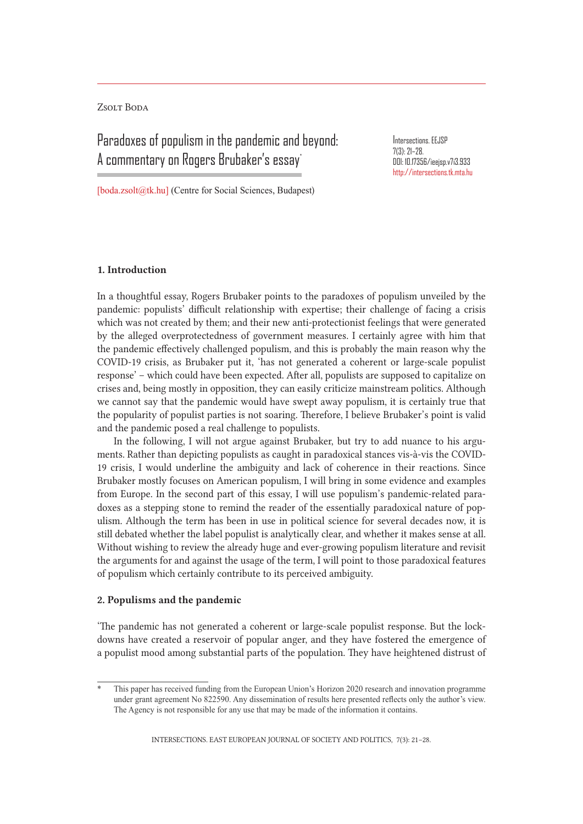Zsolt Boda

# Paradoxes of populism in the pandemic and beyond: A commentary on Rogers Brubaker's essay\*

Intersections. EEJSP 7(3): 21–28. DOI: 10.17356/ieejsp.v7i3.933 http://intersections.tk.mta.hu

[boda.zsolt@tk.hu] (Centre for Social Sciences, Budapest)

### 1. Introduction

In a thoughtful essay, Rogers Brubaker points to the paradoxes of populism unveiled by the pandemic: populists' difficult relationship with expertise; their challenge of facing a crisis which was not created by them; and their new anti-protectionist feelings that were generated by the alleged overprotectedness of government measures. I certainly agree with him that the pandemic effectively challenged populism, and this is probably the main reason why the COVID-19 crisis, as Brubaker put it, 'has not generated a coherent or large-scale populist response' – which could have been expected. After all, populists are supposed to capitalize on crises and, being mostly in opposition, they can easily criticize mainstream politics. Although we cannot say that the pandemic would have swept away populism, it is certainly true that the popularity of populist parties is not soaring. Therefore, I believe Brubaker's point is valid and the pandemic posed a real challenge to populists.

In the following, I will not argue against Brubaker, but try to add nuance to his arguments. Rather than depicting populists as caught in paradoxical stances vis-à-vis the COVID-19 crisis, I would underline the ambiguity and lack of coherence in their reactions. Since Brubaker mostly focuses on American populism, I will bring in some evidence and examples from Europe. In the second part of this essay, I will use populism's pandemic-related paradoxes as a stepping stone to remind the reader of the essentially paradoxical nature of populism. Although the term has been in use in political science for several decades now, it is still debated whether the label populist is analytically clear, and whether it makes sense at all. Without wishing to review the already huge and ever-growing populism literature and revisit the arguments for and against the usage of the term, I will point to those paradoxical features of populism which certainly contribute to its perceived ambiguity.

#### 2. Populisms and the pandemic

'The pandemic has not generated a coherent or large-scale populist response. But the lockdowns have created a reservoir of popular anger, and they have fostered the emergence of a populist mood among substantial parts of the population. They have heightened distrust of

This paper has received funding from the European Union's Horizon 2020 research and innovation programme under grant agreement No 822590. Any dissemination of results here presented reflects only the author's view. The Agency is not responsible for any use that may be made of the information it contains.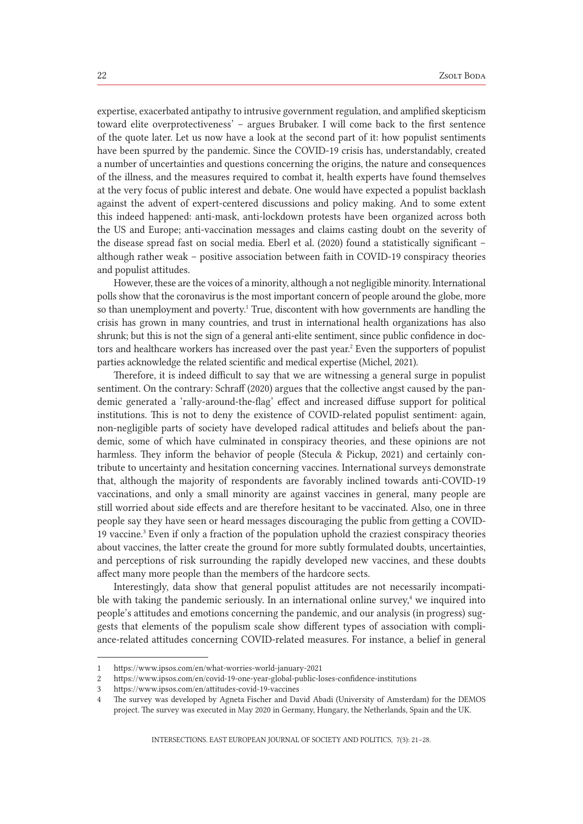expertise, exacerbated antipathy to intrusive government regulation, and amplified skepticism toward elite overprotectiveness' – argues Brubaker. I will come back to the first sentence of the quote later. Let us now have a look at the second part of it: how populist sentiments have been spurred by the pandemic. Since the COVID-19 crisis has, understandably, created a number of uncertainties and questions concerning the origins, the nature and consequences of the illness, and the measures required to combat it, health experts have found themselves at the very focus of public interest and debate. One would have expected a populist backlash against the advent of expert-centered discussions and policy making. And to some extent this indeed happened: anti-mask, anti-lockdown protests have been organized across both the US and Europe; anti-vaccination messages and claims casting doubt on the severity of the disease spread fast on social media. Eberl et al. (2020) found a statistically significant – although rather weak – positive association between faith in COVID-19 conspiracy theories and populist attitudes.

However, these are the voices of a minority, although a not negligible minority. International polls show that the coronavirus is the most important concern of people around the globe, more so than unemployment and poverty.<sup>1</sup> True, discontent with how governments are handling the crisis has grown in many countries, and trust in international health organizations has also shrunk; but this is not the sign of a general anti-elite sentiment, since public confidence in doctors and healthcare workers has increased over the past year.<sup>2</sup> Even the supporters of populist parties acknowledge the related scientific and medical expertise (Michel, 2021).

Therefore, it is indeed difficult to say that we are witnessing a general surge in populist sentiment. On the contrary: Schraff (2020) argues that the collective angst caused by the pandemic generated a 'rally-around-the-flag' effect and increased diffuse support for political institutions. This is not to deny the existence of COVID-related populist sentiment: again, non-negligible parts of society have developed radical attitudes and beliefs about the pandemic, some of which have culminated in conspiracy theories, and these opinions are not harmless. They inform the behavior of people (Stecula & Pickup, 2021) and certainly contribute to uncertainty and hesitation concerning vaccines. International surveys demonstrate that, although the majority of respondents are favorably inclined towards anti-COVID-19 vaccinations, and only a small minority are against vaccines in general, many people are still worried about side effects and are therefore hesitant to be vaccinated. Also, one in three people say they have seen or heard messages discouraging the public from getting a COVID-19 vaccine.<sup>3</sup> Even if only a fraction of the population uphold the craziest conspiracy theories about vaccines, the latter create the ground for more subtly formulated doubts, uncertainties, and perceptions of risk surrounding the rapidly developed new vaccines, and these doubts affect many more people than the members of the hardcore sects.

Interestingly, data show that general populist attitudes are not necessarily incompatible with taking the pandemic seriously. In an international online survey, $4$  we inquired into people's attitudes and emotions concerning the pandemic, and our analysis (in progress) suggests that elements of the populism scale show different types of association with compliance-related attitudes concerning COVID-related measures. For instance, a belief in general

<sup>1</sup> https://www.ipsos.com/en/what-worries-world-january-2021

<sup>2</sup> https://www.ipsos.com/en/covid-19-one-year-global-public-loses-confidence-institutions

<sup>3</sup> https://www.ipsos.com/en/attitudes-covid-19-vaccines

<sup>4</sup> The survey was developed by Agneta Fischer and David Abadi (University of Amsterdam) for the DEMOS project. The survey was executed in May 2020 in Germany, Hungary, the Netherlands, Spain and the UK.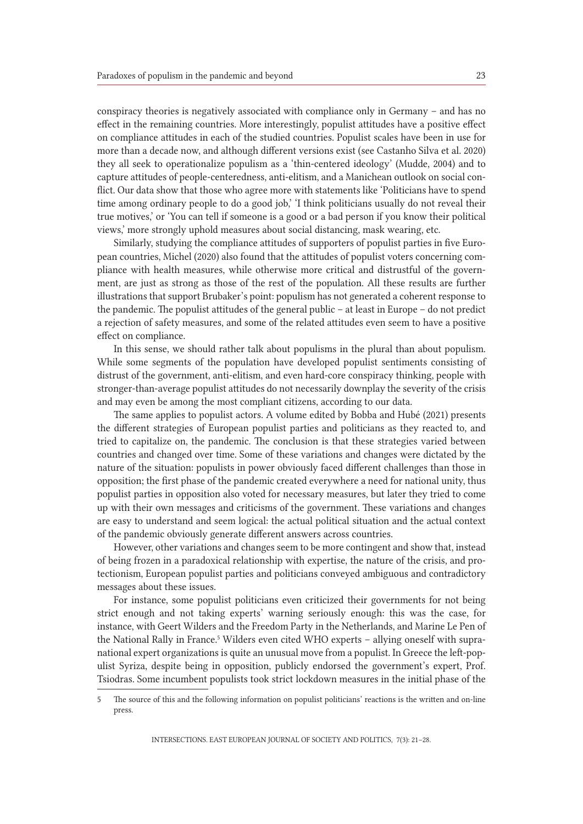conspiracy theories is negatively associated with compliance only in Germany – and has no effect in the remaining countries. More interestingly, populist attitudes have a positive effect on compliance attitudes in each of the studied countries. Populist scales have been in use for more than a decade now, and although different versions exist (see Castanho Silva et al. 2020) they all seek to operationalize populism as a 'thin-centered ideology' (Mudde, 2004) and to capture attitudes of people-centeredness, anti-elitism, and a Manichean outlook on social conflict. Our data show that those who agree more with statements like 'Politicians have to spend time among ordinary people to do a good job,' 'I think politicians usually do not reveal their true motives,' or 'You can tell if someone is a good or a bad person if you know their political views,' more strongly uphold measures about social distancing, mask wearing, etc.

Similarly, studying the compliance attitudes of supporters of populist parties in five European countries, Michel (2020) also found that the attitudes of populist voters concerning compliance with health measures, while otherwise more critical and distrustful of the government, are just as strong as those of the rest of the population. All these results are further illustrations that support Brubaker's point: populism has not generated a coherent response to the pandemic. The populist attitudes of the general public – at least in Europe – do not predict a rejection of safety measures, and some of the related attitudes even seem to have a positive effect on compliance.

In this sense, we should rather talk about populisms in the plural than about populism. While some segments of the population have developed populist sentiments consisting of distrust of the government, anti-elitism, and even hard-core conspiracy thinking, people with stronger-than-average populist attitudes do not necessarily downplay the severity of the crisis and may even be among the most compliant citizens, according to our data.

The same applies to populist actors. A volume edited by Bobba and Hubé (2021) presents the different strategies of European populist parties and politicians as they reacted to, and tried to capitalize on, the pandemic. The conclusion is that these strategies varied between countries and changed over time. Some of these variations and changes were dictated by the nature of the situation: populists in power obviously faced different challenges than those in opposition; the first phase of the pandemic created everywhere a need for national unity, thus populist parties in opposition also voted for necessary measures, but later they tried to come up with their own messages and criticisms of the government. These variations and changes are easy to understand and seem logical: the actual political situation and the actual context of the pandemic obviously generate different answers across countries.

However, other variations and changes seem to be more contingent and show that, instead of being frozen in a paradoxical relationship with expertise, the nature of the crisis, and protectionism, European populist parties and politicians conveyed ambiguous and contradictory messages about these issues.

For instance, some populist politicians even criticized their governments for not being strict enough and not taking experts' warning seriously enough: this was the case, for instance, with Geert Wilders and the Freedom Party in the Netherlands, and Marine Le Pen of the National Rally in France.<sup>5</sup> Wilders even cited WHO experts - allying oneself with supranational expert organizations is quite an unusual move from a populist. In Greece the left-populist Syriza, despite being in opposition, publicly endorsed the government's expert, Prof. Tsiodras. Some incumbent populists took strict lockdown measures in the initial phase of the

<sup>5</sup> The source of this and the following information on populist politicians' reactions is the written and on-line press.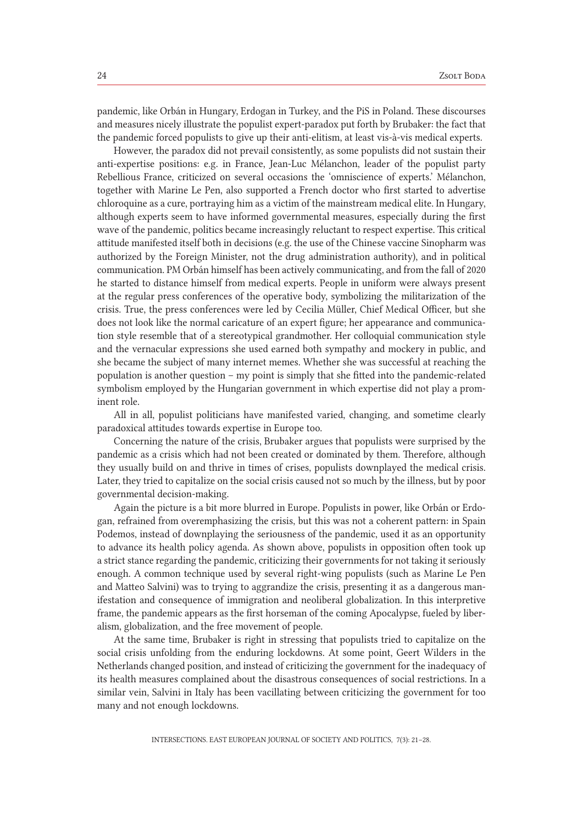pandemic, like Orbán in Hungary, Erdogan in Turkey, and the PiS in Poland. These discourses and measures nicely illustrate the populist expert-paradox put forth by Brubaker: the fact that the pandemic forced populists to give up their anti-elitism, at least vis-à-vis medical experts.

However, the paradox did not prevail consistently, as some populists did not sustain their anti-expertise positions: e.g. in France, Jean-Luc Mélanchon, leader of the populist party Rebellious France, criticized on several occasions the 'omniscience of experts.' Mélanchon, together with Marine Le Pen, also supported a French doctor who first started to advertise chloroquine as a cure, portraying him as a victim of the mainstream medical elite. In Hungary, although experts seem to have informed governmental measures, especially during the first wave of the pandemic, politics became increasingly reluctant to respect expertise. This critical attitude manifested itself both in decisions (e.g. the use of the Chinese vaccine Sinopharm was authorized by the Foreign Minister, not the drug administration authority), and in political communication. PM Orbán himself has been actively communicating, and from the fall of 2020 he started to distance himself from medical experts. People in uniform were always present at the regular press conferences of the operative body, symbolizing the militarization of the crisis. True, the press conferences were led by Cecilia Müller, Chief Medical Officer, but she does not look like the normal caricature of an expert figure; her appearance and communication style resemble that of a stereotypical grandmother. Her colloquial communication style and the vernacular expressions she used earned both sympathy and mockery in public, and she became the subject of many internet memes. Whether she was successful at reaching the population is another question – my point is simply that she fitted into the pandemic-related symbolism employed by the Hungarian government in which expertise did not play a prominent role.

All in all, populist politicians have manifested varied, changing, and sometime clearly paradoxical attitudes towards expertise in Europe too.

Concerning the nature of the crisis, Brubaker argues that populists were surprised by the pandemic as a crisis which had not been created or dominated by them. Therefore, although they usually build on and thrive in times of crises, populists downplayed the medical crisis. Later, they tried to capitalize on the social crisis caused not so much by the illness, but by poor governmental decision-making.

Again the picture is a bit more blurred in Europe. Populists in power, like Orbán or Erdogan, refrained from overemphasizing the crisis, but this was not a coherent pattern: in Spain Podemos, instead of downplaying the seriousness of the pandemic, used it as an opportunity to advance its health policy agenda. As shown above, populists in opposition often took up a strict stance regarding the pandemic, criticizing their governments for not taking it seriously enough. A common technique used by several right-wing populists (such as Marine Le Pen and Matteo Salvini) was to trying to aggrandize the crisis, presenting it as a dangerous manifestation and consequence of immigration and neoliberal globalization. In this interpretive frame, the pandemic appears as the first horseman of the coming Apocalypse, fueled by liberalism, globalization, and the free movement of people.

At the same time, Brubaker is right in stressing that populists tried to capitalize on the social crisis unfolding from the enduring lockdowns. At some point, Geert Wilders in the Netherlands changed position, and instead of criticizing the government for the inadequacy of its health measures complained about the disastrous consequences of social restrictions. In a similar vein, Salvini in Italy has been vacillating between criticizing the government for too many and not enough lockdowns.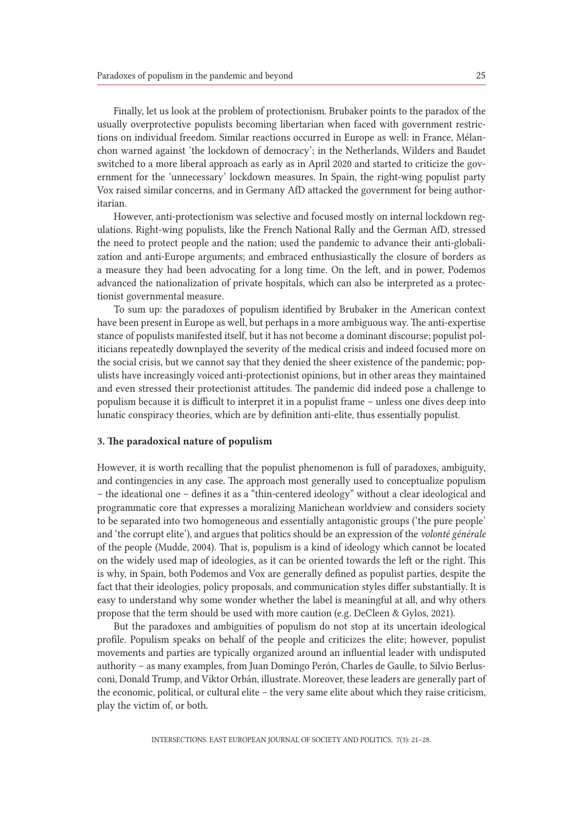Finally, let us look at the problem of protectionism. Brubaker points to the paradox of the usually overprotective populists becoming libertarian when faced with government restrictions on individual freedom. Similar reactions occurred in Europe as well: in France, Mélanchon warned against 'the lockdown of democracy'; in the Netherlands, Wilders and Baudet switched to a more liberal approach as early as in April 2020 and started to criticize the government for the 'unnecessary' lockdown measures. In Spain, the right-wing populist party Vox raised similar concerns, and in Germany AfD attacked the government for being authoritarian.

However, anti-protectionism was selective and focused mostly on internal lockdown regulations. Right-wing populists, like the French National Rally and the German AfD, stressed the need to protect people and the nation; used the pandemic to advance their anti-globalization and anti-Europe arguments; and embraced enthusiastically the closure of borders as a measure they had been advocating for a long time. On the left, and in power, Podemos advanced the nationalization of private hospitals, which can also be interpreted as a protectionist governmental measure.

To sum up: the paradoxes of populism identified by Brubaker in the American context have been present in Europe as well, but perhaps in a more ambiguous way. The anti-expertise stance of populists manifested itself, but it has not become a dominant discourse; populist politicians repeatedly downplayed the severity of the medical crisis and indeed focused more on the social crisis, but we cannot say that they denied the sheer existence of the pandemic; populists have increasingly voiced anti-protectionist opinions, but in other areas they maintained and even stressed their protectionist attitudes. The pandemic did indeed pose a challenge to populism because it is difficult to interpret it in a populist frame – unless one dives deep into lunatic conspiracy theories, which are by definition anti-elite, thus essentially populist.

## 3. The paradoxical nature of populism

However, it is worth recalling that the populist phenomenon is full of paradoxes, ambiguity, and contingencies in any case. The approach most generally used to conceptualize populism – the ideational one – defines it as a "thin-centered ideology" without a clear ideological and programmatic core that expresses a moralizing Manichean worldview and considers society to be separated into two homogeneous and essentially antagonistic groups ('the pure people' and 'the corrupt elite'), and argues that politics should be an expression of the *volonté générale* of the people (Mudde, 2004). That is, populism is a kind of ideology which cannot be located on the widely used map of ideologies, as it can be oriented towards the left or the right. This is why, in Spain, both Podemos and Vox are generally defined as populist parties, despite the fact that their ideologies, policy proposals, and communication styles differ substantially. It is easy to understand why some wonder whether the label is meaningful at all, and why others propose that the term should be used with more caution (e.g. DeCleen & Gylos, 2021).

But the paradoxes and ambiguities of populism do not stop at its uncertain ideological profile. Populism speaks on behalf of the people and criticizes the elite; however, populist movements and parties are typically organized around an influential leader with undisputed authority – as many examples, from Juan Domingo Perón, Charles de Gaulle, to Silvio Berlusconi, Donald Trump, and Viktor Orbán, illustrate. Moreover, these leaders are generally part of the economic, political, or cultural elite – the very same elite about which they raise criticism, play the victim of, or both.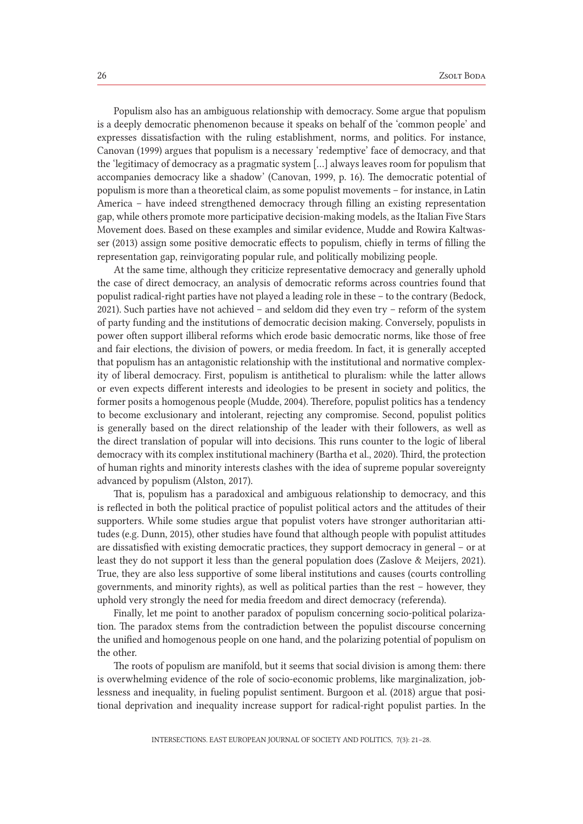Populism also has an ambiguous relationship with democracy. Some argue that populism is a deeply democratic phenomenon because it speaks on behalf of the 'common people' and expresses dissatisfaction with the ruling establishment, norms, and politics. For instance, Canovan (1999) argues that populism is a necessary 'redemptive' face of democracy, and that the 'legitimacy of democracy as a pragmatic system […] always leaves room for populism that accompanies democracy like a shadow' (Canovan, 1999, p. 16). The democratic potential of populism is more than a theoretical claim, as some populist movements – for instance, in Latin America – have indeed strengthened democracy through filling an existing representation gap, while others promote more participative decision-making models, as the Italian Five Stars Movement does. Based on these examples and similar evidence, Mudde and Rowira Kaltwasser (2013) assign some positive democratic effects to populism, chiefly in terms of filling the representation gap, reinvigorating popular rule, and politically mobilizing people.

At the same time, although they criticize representative democracy and generally uphold the case of direct democracy, an analysis of democratic reforms across countries found that populist radical-right parties have not played a leading role in these – to the contrary (Bedock, 2021). Such parties have not achieved – and seldom did they even try – reform of the system of party funding and the institutions of democratic decision making. Conversely, populists in power often support illiberal reforms which erode basic democratic norms, like those of free and fair elections, the division of powers, or media freedom. In fact, it is generally accepted that populism has an antagonistic relationship with the institutional and normative complexity of liberal democracy. First, populism is antithetical to pluralism: while the latter allows or even expects different interests and ideologies to be present in society and politics, the former posits a homogenous people (Mudde, 2004). Therefore, populist politics has a tendency to become exclusionary and intolerant, rejecting any compromise. Second, populist politics is generally based on the direct relationship of the leader with their followers, as well as the direct translation of popular will into decisions. This runs counter to the logic of liberal democracy with its complex institutional machinery (Bartha et al., 2020). Third, the protection of human rights and minority interests clashes with the idea of supreme popular sovereignty advanced by populism (Alston, 2017).

That is, populism has a paradoxical and ambiguous relationship to democracy, and this is reflected in both the political practice of populist political actors and the attitudes of their supporters. While some studies argue that populist voters have stronger authoritarian attitudes (e.g. Dunn, 2015), other studies have found that although people with populist attitudes are dissatisfied with existing democratic practices, they support democracy in general – or at least they do not support it less than the general population does (Zaslove & Meijers, 2021). True, they are also less supportive of some liberal institutions and causes (courts controlling governments, and minority rights), as well as political parties than the rest – however, they uphold very strongly the need for media freedom and direct democracy (referenda).

Finally, let me point to another paradox of populism concerning socio-political polarization. The paradox stems from the contradiction between the populist discourse concerning the unified and homogenous people on one hand, and the polarizing potential of populism on the other.

The roots of populism are manifold, but it seems that social division is among them: there is overwhelming evidence of the role of socio-economic problems, like marginalization, joblessness and inequality, in fueling populist sentiment. Burgoon et al. (2018) argue that positional deprivation and inequality increase support for radical-right populist parties. In the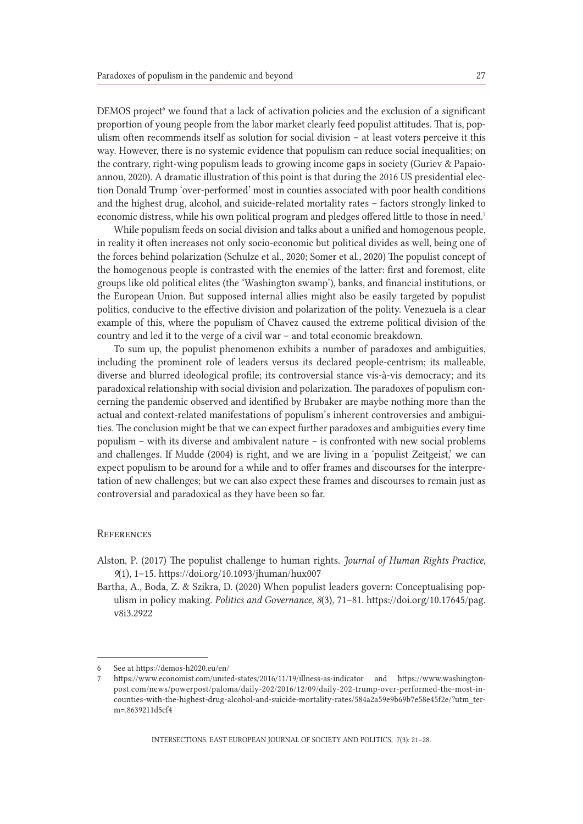DEMOS project<sup>6</sup> we found that a lack of activation policies and the exclusion of a significant proportion of young people from the labor market clearly feed populist attitudes. That is, populism often recommends itself as solution for social division – at least voters perceive it this way. However, there is no systemic evidence that populism can reduce social inequalities; on the contrary, right-wing populism leads to growing income gaps in society (Guriev & Papaioannou, 2020). A dramatic illustration of this point is that during the 2016 US presidential election Donald Trump 'over-performed' most in counties associated with poor health conditions and the highest drug, alcohol, and suicide-related mortality rates – factors strongly linked to economic distress, while his own political program and pledges offered little to those in need.<sup>7</sup>

While populism feeds on social division and talks about a unified and homogenous people, in reality it often increases not only socio-economic but political divides as well, being one of the forces behind polarization (Schulze et al., 2020; Somer et al., 2020) The populist concept of the homogenous people is contrasted with the enemies of the latter: first and foremost, elite groups like old political elites (the 'Washington swamp'), banks, and financial institutions, or the European Union. But supposed internal allies might also be easily targeted by populist politics, conducive to the effective division and polarization of the polity. Venezuela is a clear example of this, where the populism of Chavez caused the extreme political division of the country and led it to the verge of a civil war – and total economic breakdown.

To sum up, the populist phenomenon exhibits a number of paradoxes and ambiguities, including the prominent role of leaders versus its declared people-centrism; its malleable, diverse and blurred ideological profile; its controversial stance vis-à-vis democracy; and its paradoxical relationship with social division and polarization. The paradoxes of populism concerning the pandemic observed and identified by Brubaker are maybe nothing more than the actual and context-related manifestations of populism's inherent controversies and ambiguities. The conclusion might be that we can expect further paradoxes and ambiguities every time populism – with its diverse and ambivalent nature – is confronted with new social problems and challenges. If Mudde (2004) is right, and we are living in a 'populist Zeitgeist,' we can expect populism to be around for a while and to offer frames and discourses for the interpretation of new challenges; but we can also expect these frames and discourses to remain just as controversial and paradoxical as they have been so far.

#### **REFERENCES**

- Alston, P. (2017) The populist challenge to human rights. *Journal of Human Rights Practice, 9*(1), 1–15. https://doi.org/10.1093/jhuman/hux007
- Bartha, A., Boda, Z. & Szikra, D. (2020) When populist leaders govern: Conceptualising populism in policy making. *Politics and Governance*, *8*(3), 71–81. https://doi.org/10.17645/pag. v8i3.2922

<sup>6</sup> See at https://demos-h2020.eu/en/

<sup>7</sup> https://www.economist.com/united-states/2016/11/19/illness-as-indicator and https://www.washingtonpost.com/news/powerpost/paloma/daily-202/2016/12/09/daily-202-trump-over-performed-the-most-incounties-with-the-highest-drug-alcohol-and-suicide-mortality-rates/584a2a59e9b69b7e58e45f2e/?utm\_term=.8639211d5cf4